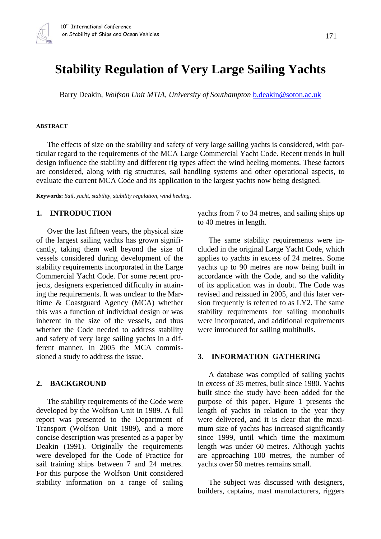# **Stability Regulation of Very Large Sailing Yachts**

Barry Deakin, *Wolfson Unit MTIA, University of Southampton* b.deakin@soton.ac.uk

#### **ABSTRACT**

The effects of size on the stability and safety of very large sailing yachts is considered, with particular regard to the requirements of the MCA Large Commercial Yacht Code. Recent trends in hull design influence the stability and different rig types affect the wind heeling moments. These factors are considered, along with rig structures, sail handling systems and other operational aspects, to evaluate the current MCA Code and its application to the largest yachts now being designed.

**Keywords:** *Sail, yacht, stability, stability regulation, wind heeling,*

#### **1. INTRODUCTION**

Over the last fifteen years, the physical size of the largest sailing yachts has grown significantly, taking them well beyond the size of vessels considered during development of the stability requirements incorporated in the Large Commercial Yacht Code. For some recent projects, designers experienced difficulty in attaining the requirements. It was unclear to the Maritime & Coastguard Agency (MCA) whether this was a function of individual design or was inherent in the size of the vessels, and thus whether the Code needed to address stability and safety of very large sailing yachts in a different manner. In 2005 the MCA commissioned a study to address the issue.

# **2. BACKGROUND**

The stability requirements of the Code were developed by the Wolfson Unit in 1989. A full report was presented to the Department of Transport (Wolfson Unit 1989), and a more concise description was presented as a paper by Deakin (1991). Originally the requirements were developed for the Code of Practice for sail training ships between 7 and 24 metres. For this purpose the Wolfson Unit considered stability information on a range of sailing yachts from 7 to 34 metres, and sailing ships up to 40 metres in length.

The same stability requirements were included in the original Large Yacht Code, which applies to yachts in excess of 24 metres. Some yachts up to 90 metres are now being built in accordance with the Code, and so the validity of its application was in doubt. The Code was revised and reissued in 2005, and this later version frequently is referred to as LY2. The same stability requirements for sailing monohulls were incorporated, and additional requirements were introduced for sailing multihulls.

#### **3. INFORMATION GATHERING**

A database was compiled of sailing yachts in excess of 35 metres, built since 1980. Yachts built since the study have been added for the purpose of this paper. [Figure 1](#page-1-0) presents the length of yachts in relation to the year they were delivered, and it is clear that the maximum size of yachts has increased significantly since 1999, until which time the maximum length was under 60 metres. Although yachts are approaching 100 metres, the number of yachts over 50 metres remains small.

The subject was discussed with designers, builders, captains, mast manufacturers, riggers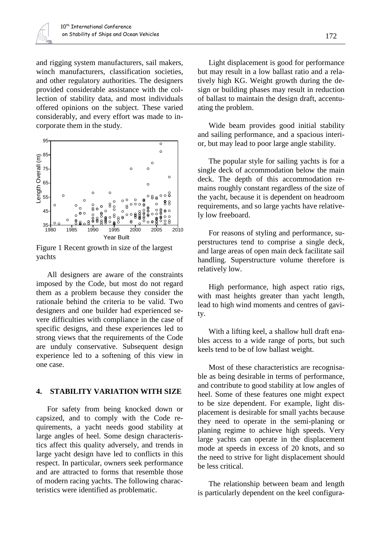and rigging system manufacturers, sail makers, winch manufacturers, classification societies, and other regulatory authorities. The designers provided considerable assistance with the collection of stability data, and most individuals offered opinions on the subject. These varied considerably, and every effort was made to incorporate them in the study.



<span id="page-1-0"></span>Figure 1 Recent growth in size of the largest yachts

All designers are aware of the constraints imposed by the Code, but most do not regard them as a problem because they consider the rationale behind the criteria to be valid. Two designers and one builder had experienced severe difficulties with compliance in the case of specific designs, and these experiences led to strong views that the requirements of the Code are unduly conservative. Subsequent design experience led to a softening of this view in one case.

# **4. STABILITY VARIATION WITH SIZE**

For safety from being knocked down or capsized, and to comply with the Code requirements, a yacht needs good stability at large angles of heel. Some design characteristics affect this quality adversely, and trends in large yacht design have led to conflicts in this respect. In particular, owners seek performance and are attracted to forms that resemble those of modern racing yachts. The following characteristics were identified as problematic.

Light displacement is good for performance but may result in a low ballast ratio and a relatively high KG. Weight growth during the design or building phases may result in reduction of ballast to maintain the design draft, accentuating the problem.

Wide beam provides good initial stability and sailing performance, and a spacious interior, but may lead to poor large angle stability.

The popular style for sailing yachts is for a single deck of accommodation below the main deck. The depth of this accommodation remains roughly constant regardless of the size of the yacht, because it is dependent on headroom requirements, and so large yachts have relatively low freeboard.

For reasons of styling and performance, superstructures tend to comprise a single deck, and large areas of open main deck facilitate sail handling. Superstructure volume therefore is relatively low.

High performance, high aspect ratio rigs, with mast heights greater than yacht length, lead to high wind moments and centres of gavity.

With a lifting keel, a shallow hull draft enables access to a wide range of ports, but such keels tend to be of low ballast weight.

Most of these characteristics are recognisable as being desirable in terms of performance, and contribute to good stability at low angles of heel. Some of these features one might expect to be size dependent. For example, light displacement is desirable for small yachts because they need to operate in the semi-planing or planing regime to achieve high speeds. Very large yachts can operate in the displacement mode at speeds in excess of 20 knots, and so the need to strive for light displacement should be less critical.

The relationship between beam and length is particularly dependent on the keel configura-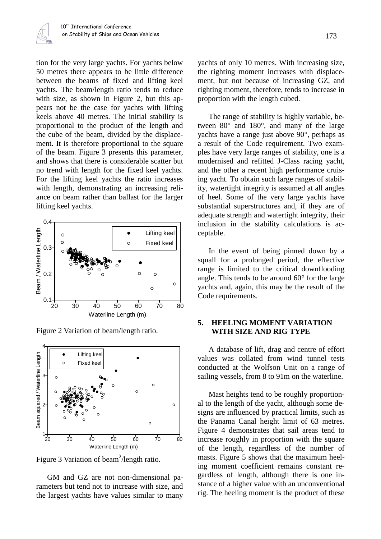tion for the very large yachts. For yachts below 50 metres there appears to be little difference between the beams of fixed and lifting keel yachts. The beam/length ratio tends to reduce with size, as shown in [Figure 2,](#page-2-0) but this appears not be the case for yachts with lifting keels above 40 metres. The initial stability is proportional to the product of the length and the cube of the beam, divided by the displacement. It is therefore proportional to the square of the beam. [Figure 3](#page-2-1) presents this parameter, and shows that there is considerable scatter but no trend with length for the fixed keel yachts. For the lifting keel yachts the ratio increases with length, demonstrating an increasing reliance on beam rather than ballast for the larger lifting keel yachts.



<span id="page-2-0"></span>Figure 2 Variation of beam/length ratio.



<span id="page-2-1"></span>Figure 3 Variation of beam<sup>2</sup>/length ratio.

GM and GZ are not non-dimensional parameters but tend not to increase with size, and the largest yachts have values similar to many yachts of only 10 metres. With increasing size, the righting moment increases with displacement, but not because of increasing GZ, and righting moment, therefore, tends to increase in proportion with the length cubed.

The range of stability is highly variable, between 80° and 180°, and many of the large yachts have a range just above 90°, perhaps as a result of the Code requirement. Two examples have very large ranges of stability, one is a modernised and refitted J-Class racing yacht, and the other a recent high performance cruising yacht. To obtain such large ranges of stability, watertight integrity is assumed at all angles of heel. Some of the very large yachts have substantial superstructures and, if they are of adequate strength and watertight integrity, their inclusion in the stability calculations is acceptable.

In the event of being pinned down by a squall for a prolonged period, the effective range is limited to the critical downflooding angle. This tends to be around 60° for the large yachts and, again, this may be the result of the Code requirements.

# **5. HEELING MOMENT VARIATION WITH SIZE AND RIG TYPE**

A database of lift, drag and centre of effort values was collated from wind tunnel tests conducted at the Wolfson Unit on a range of sailing vessels, from 8 to 91m on the waterline.

Mast heights tend to be roughly proportional to the length of the yacht, although some designs are influenced by practical limits, such as the Panama Canal height limit of 63 metres. [Figure 4](#page-3-0) demonstrates that sail areas tend to increase roughly in proportion with the square of the length, regardless of the number of masts. [Figure 5](#page-3-1) shows that the maximum heeling moment coefficient remains constant regardless of length, although there is one instance of a higher value with an unconventional rig. The heeling moment is the product of these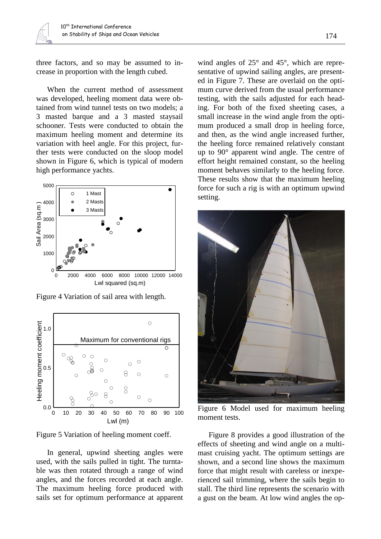three factors, and so may be assumed to increase in proportion with the length cubed.

When the current method of assessment was developed, heeling moment data were obtained from wind tunnel tests on two models; a 3 masted barque and a 3 masted staysail schooner. Tests were conducted to obtain the maximum heeling moment and determine its variation with heel angle. For this project, further tests were conducted on the sloop model shown in [Figure 6,](#page-3-2) which is typical of modern high performance yachts.



<span id="page-3-0"></span>Figure 4 Variation of sail area with length.



<span id="page-3-1"></span>Figure 5 Variation of heeling moment coeff.

In general, upwind sheeting angles were used, with the sails pulled in tight. The turntable was then rotated through a range of wind angles, and the forces recorded at each angle. The maximum heeling force produced with sails set for optimum performance at apparent

wind angles of 25° and 45°, which are representative of upwind sailing angles, are presented in [Figure 7.](#page-4-0) These are overlaid on the optimum curve derived from the usual performance testing, with the sails adjusted for each heading. For both of the fixed sheeting cases, a small increase in the wind angle from the optimum produced a small drop in heeling force, and then, as the wind angle increased further, the heeling force remained relatively constant up to 90° apparent wind angle. The centre of effort height remained constant, so the heeling moment behaves similarly to the heeling force. These results show that the maximum heeling force for such a rig is with an optimum upwind setting.



Figure 6 Model used for maximum heeling moment tests.

<span id="page-3-2"></span>[Figure 8](#page-4-1) provides a good illustration of the effects of sheeting and wind angle on a multimast cruising yacht. The optimum settings are shown, and a second line shows the maximum force that might result with careless or inexperienced sail trimming, where the sails begin to stall. The third line represents the scenario with a gust on the beam. At low wind angles the op-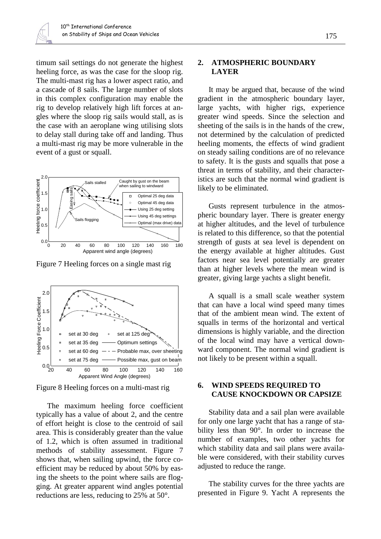timum sail settings do not generate the highest heeling force, as was the case for the sloop rig. The multi-mast rig has a lower aspect ratio, and a cascade of 8 sails. The large number of slots in this complex configuration may enable the rig to develop relatively high lift forces at angles where the sloop rig sails would stall, as is the case with an aeroplane wing utilising slots to delay stall during take off and landing. Thus a multi-mast rig may be more vulnerable in the event of a gust or squall.



<span id="page-4-0"></span>Figure 7 Heeling forces on a single mast rig



<span id="page-4-1"></span>Figure 8 Heeling forces on a multi-mast rig

The maximum heeling force coefficient typically has a value of about 2, and the centre of effort height is close to the centroid of sail area. This is considerably greater than the value of 1.2, which is often assumed in traditional methods of stability assessment. [Figure 7](#page-4-0) shows that, when sailing upwind, the force coefficient may be reduced by about 50% by easing the sheets to the point where sails are flogging. At greater apparent wind angles potential reductions are less, reducing to 25% at 50°.

# **2. ATMOSPHERIC BOUNDARY LAYER**

It may be argued that, because of the wind gradient in the atmospheric boundary layer, large yachts, with higher rigs, experience greater wind speeds. Since the selection and sheeting of the sails is in the hands of the crew, not determined by the calculation of predicted heeling moments, the effects of wind gradient on steady sailing conditions are of no relevance to safety. It is the gusts and squalls that pose a threat in terms of stability, and their characteristics are such that the normal wind gradient is likely to be eliminated.

Gusts represent turbulence in the atmospheric boundary layer. There is greater energy at higher altitudes, and the level of turbulence is related to this difference, so that the potential strength of gusts at sea level is dependent on the energy available at higher altitudes. Gust factors near sea level potentially are greater than at higher levels where the mean wind is greater, giving large yachts a slight benefit.

A squall is a small scale weather system that can have a local wind speed many times that of the ambient mean wind. The extent of squalls in terms of the horizontal and vertical dimensions is highly variable, and the direction of the local wind may have a vertical downward component. The normal wind gradient is not likely to be present within a squall.

# <span id="page-4-2"></span>**6. WIND SPEEDS REQUIRED TO CAUSE KNOCKDOWN OR CAPSIZE**

Stability data and a sail plan were available for only one large yacht that has a range of stability less than 90°. In order to increase the number of examples, two other yachts for which stability data and sail plans were available were considered, with their stability curves adjusted to reduce the range.

The stability curves for the three yachts are presented in [Figure 9.](#page-5-0) Yacht A represents the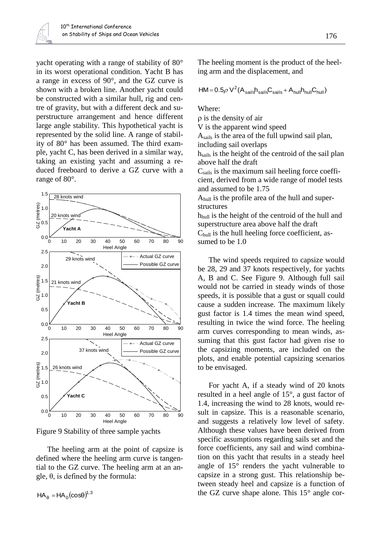yacht operating with a range of stability of 80° in its worst operational condition. Yacht B has a range in excess of 90°, and the GZ curve is shown with a broken line. Another yacht could be constructed with a similar hull, rig and centre of gravity, but with a different deck and superstructure arrangement and hence different large angle stability. This hypothetical yacht is represented by the solid line. A range of stability of 80° has been assumed. The third example, yacht C, has been derived in a similar way, taking an existing yacht and assuming a reduced freeboard to derive a GZ curve with a range of 80°.



<span id="page-5-0"></span>Figure 9 Stability of three sample yachts

The heeling arm at the point of capsize is defined where the heeling arm curve is tangential to the GZ curve. The heeling arm at an angle,  $\theta$ , is defined by the formula:

 $HA_{\theta} = HA_0(\cos\theta)^{1.3}$ 

The heeling moment is the product of the heeling arm and the displacement, and

$$
HM = 0.5 \rho V^2 (A_{sails} h_{sails} C_{sails} + A_{hull} h_{hull} C_{hull})
$$

Where:

 $\rho$  is the density of air

V is the apparent wind speed

Asails is the area of the full upwind sail plan,

including sail overlaps

hsails is the height of the centroid of the sail plan above half the draft

 $C<sub>sails</sub>$  is the maximum sail heeling force coefficient, derived from a wide range of model tests and assumed to be 1.75

Ahull is the profile area of the hull and superstructures

hhull is the height of the centroid of the hull and superstructure area above half the draft Chull is the hull heeling force coefficient, assumed to be 1.0

The wind speeds required to capsize would be 28, 29 and 37 knots respectively, for yachts A, B and C. See [Figure 9.](#page-5-0) Although full sail would not be carried in steady winds of those speeds, it is possible that a gust or squall could cause a sudden increase. The maximum likely gust factor is 1.4 times the mean wind speed, resulting in twice the wind force. The heeling arm curves corresponding to mean winds, assuming that this gust factor had given rise to the capsizing moments, are included on the plots, and enable potential capsizing scenarios to be envisaged.

For yacht A, if a steady wind of 20 knots resulted in a heel angle of 15°, a gust factor of 1.4, increasing the wind to 28 knots, would result in capsize. This is a reasonable scenario, and suggests a relatively low level of safety. Although these values have been derived from specific assumptions regarding sails set and the force coefficients, any sail and wind combination on this yacht that results in a steady heel angle of 15° renders the yacht vulnerable to capsize in a strong gust. This relationship between steady heel and capsize is a function of the GZ curve shape alone. This 15° angle cor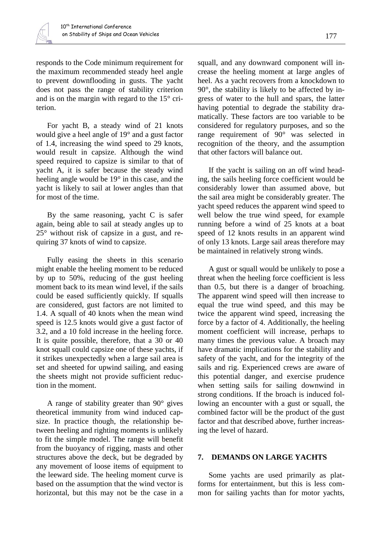responds to the Code minimum requirement for the maximum recommended steady heel angle to prevent downflooding in gusts. The yacht does not pass the range of stability criterion and is on the margin with regard to the 15° criterion.

For yacht B, a steady wind of 21 knots would give a heel angle of 19° and a gust factor of 1.4, increasing the wind speed to 29 knots, would result in capsize. Although the wind speed required to capsize is similar to that of yacht A, it is safer because the steady wind heeling angle would be 19° in this case, and the yacht is likely to sail at lower angles than that for most of the time.

By the same reasoning, yacht C is safer again, being able to sail at steady angles up to 25° without risk of capsize in a gust, and requiring 37 knots of wind to capsize.

Fully easing the sheets in this scenario might enable the heeling moment to be reduced by up to 50%, reducing of the gust heeling moment back to its mean wind level, if the sails could be eased sufficiently quickly. If squalls are considered, gust factors are not limited to 1.4. A squall of 40 knots when the mean wind speed is 12.5 knots would give a gust factor of 3.2, and a 10 fold increase in the heeling force. It is quite possible, therefore, that a 30 or 40 knot squall could capsize one of these yachts, if it strikes unexpectedly when a large sail area is set and sheeted for upwind sailing, and easing the sheets might not provide sufficient reduction in the moment.

A range of stability greater than 90° gives theoretical immunity from wind induced capsize. In practice though, the relationship between heeling and righting moments is unlikely to fit the simple model. The range will benefit from the buoyancy of rigging, masts and other structures above the deck, but be degraded by any movement of loose items of equipment to the leeward side. The heeling moment curve is based on the assumption that the wind vector is horizontal, but this may not be the case in a

squall, and any downward component will increase the heeling moment at large angles of heel. As a yacht recovers from a knockdown to 90°, the stability is likely to be affected by ingress of water to the hull and spars, the latter having potential to degrade the stability dramatically. These factors are too variable to be considered for regulatory purposes, and so the range requirement of 90° was selected in recognition of the theory, and the assumption that other factors will balance out.

If the yacht is sailing on an off wind heading, the sails heeling force coefficient would be considerably lower than assumed above, but the sail area might be considerably greater. The yacht speed reduces the apparent wind speed to well below the true wind speed, for example running before a wind of 25 knots at a boat speed of 12 knots results in an apparent wind of only 13 knots. Large sail areas therefore may be maintained in relatively strong winds.

A gust or squall would be unlikely to pose a threat when the heeling force coefficient is less than 0.5, but there is a danger of broaching. The apparent wind speed will then increase to equal the true wind speed, and this may be twice the apparent wind speed, increasing the force by a factor of 4. Additionally, the heeling moment coefficient will increase, perhaps to many times the previous value. A broach may have dramatic implications for the stability and safety of the yacht, and for the integrity of the sails and rig. Experienced crews are aware of this potential danger, and exercise prudence when setting sails for sailing downwind in strong conditions. If the broach is induced following an encounter with a gust or squall, the combined factor will be the product of the gust factor and that described above, further increasing the level of hazard.

#### **7. DEMANDS ON LARGE YACHTS**

Some yachts are used primarily as platforms for entertainment, but this is less common for sailing yachts than for motor yachts,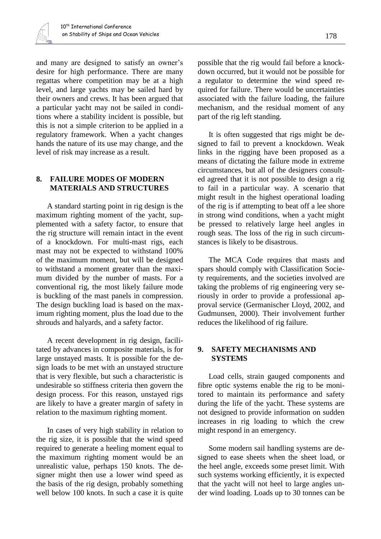

and many are designed to satisfy an owner's desire for high performance. There are many regattas where competition may be at a high level, and large yachts may be sailed hard by their owners and crews. It has been argued that a particular yacht may not be sailed in conditions where a stability incident is possible, but this is not a simple criterion to be applied in a regulatory framework. When a yacht changes hands the nature of its use may change, and the level of risk may increase as a result.

# **8. FAILURE MODES OF MODERN MATERIALS AND STRUCTURES**

A standard starting point in rig design is the maximum righting moment of the yacht, supplemented with a safety factor, to ensure that the rig structure will remain intact in the event of a knockdown. For multi-mast rigs, each mast may not be expected to withstand 100% of the maximum moment, but will be designed to withstand a moment greater than the maximum divided by the number of masts. For a conventional rig, the most likely failure mode is buckling of the mast panels in compression. The design buckling load is based on the maximum righting moment, plus the load due to the shrouds and halyards, and a safety factor.

A recent development in rig design, facilitated by advances in composite materials, is for large unstayed masts. It is possible for the design loads to be met with an unstayed structure that is very flexible, but such a characteristic is undesirable so stiffness criteria then govern the design process. For this reason, unstayed rigs are likely to have a greater margin of safety in relation to the maximum righting moment.

In cases of very high stability in relation to the rig size, it is possible that the wind speed required to generate a heeling moment equal to the maximum righting moment would be an unrealistic value, perhaps 150 knots. The designer might then use a lower wind speed as the basis of the rig design, probably something well below 100 knots. In such a case it is quite possible that the rig would fail before a knockdown occurred, but it would not be possible for a regulator to determine the wind speed required for failure. There would be uncertainties associated with the failure loading, the failure mechanism, and the residual moment of any part of the rig left standing.

It is often suggested that rigs might be designed to fail to prevent a knockdown. Weak links in the rigging have been proposed as a means of dictating the failure mode in extreme circumstances, but all of the designers consulted agreed that it is not possible to design a rig to fail in a particular way. A scenario that might result in the highest operational loading of the rig is if attempting to beat off a lee shore in strong wind conditions, when a yacht might be pressed to relatively large heel angles in rough seas. The loss of the rig in such circumstances is likely to be disastrous.

The MCA Code requires that masts and spars should comply with Classification Society requirements, and the societies involved are taking the problems of rig engineering very seriously in order to provide a professional approval service (Germanischer Lloyd, 2002, and Gudmunsen, 2000). Their involvement further reduces the likelihood of rig failure.

# **9. SAFETY MECHANISMS AND SYSTEMS**

Load cells, strain gauged components and fibre optic systems enable the rig to be monitored to maintain its performance and safety during the life of the yacht. These systems are not designed to provide information on sudden increases in rig loading to which the crew might respond in an emergency.

Some modern sail handling systems are designed to ease sheets when the sheet load, or the heel angle, exceeds some preset limit. With such systems working efficiently, it is expected that the yacht will not heel to large angles under wind loading. Loads up to 30 tonnes can be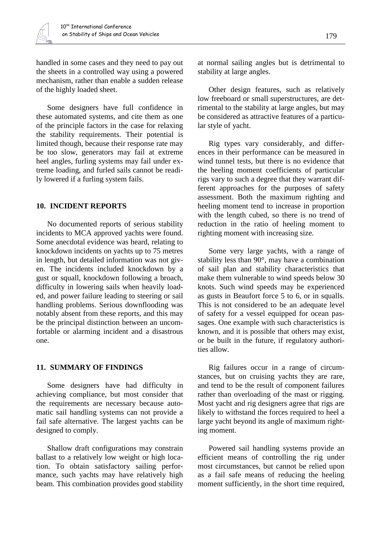handled in some cases and they need to pay out the sheets in a controlled way using a powered mechanism, rather than enable a sudden release of the highly loaded sheet.

Some designers have full confidence in these automated systems, and cite them as one of the principle factors in the case for relaxing the stability requirements. Their potential is limited though, because their response rate may be too slow, generators may fail at extreme heel angles, furling systems may fail under extreme loading, and furled sails cannot be readily lowered if a furling system fails.

# **10. INCIDENT REPORTS**

No documented reports of serious stability incidents to MCA approved yachts were found. Some anecdotal evidence was heard, relating to knockdown incidents on yachts up to 75 metres in length, but detailed information was not given. The incidents included knockdown by a gust or squall, knockdown following a broach, difficulty in lowering sails when heavily loaded, and power failure leading to steering or sail handling problems. Serious downflooding was notably absent from these reports, and this may be the principal distinction between an uncomfortable or alarming incident and a disastrous one.

# **11. SUMMARY OF FINDINGS**

Some designers have had difficulty in achieving compliance, but most consider that the requirements are necessary because automatic sail handling systems can not provide a fail safe alternative. The largest yachts can be designed to comply.

Shallow draft configurations may constrain ballast to a relatively low weight or high location. To obtain satisfactory sailing performance, such yachts may have relatively high beam. This combination provides good stability at normal sailing angles but is detrimental to stability at large angles.

Other design features, such as relatively low freeboard or small superstructures, are detrimental to the stability at large angles, but may be considered as attractive features of a particular style of yacht.

Rig types vary considerably, and differences in their performance can be measured in wind tunnel tests, but there is no evidence that the heeling moment coefficients of particular rigs vary to such a degree that they warrant different approaches for the purposes of safety assessment. Both the maximum righting and heeling moment tend to increase in proportion with the length cubed, so there is no trend of reduction in the ratio of heeling moment to righting moment with increasing size.

Some very large yachts, with a range of stability less than 90°, may have a combination of sail plan and stability characteristics that make them vulnerable to wind speeds below 30 knots. Such wind speeds may be experienced as gusts in Beaufort force 5 to 6, or in squalls. This is not considered to be an adequate level of safety for a vessel equipped for ocean passages. One example with such characteristics is known, and it is possible that others may exist, or be built in the future, if regulatory authorities allow.

Rig failures occur in a range of circumstances, but on cruising yachts they are rare, and tend to be the result of component failures rather than overloading of the mast or rigging. Most yacht and rig designers agree that rigs are likely to withstand the forces required to heel a large yacht beyond its angle of maximum righting moment.

Powered sail handling systems provide an efficient means of controlling the rig under most circumstances, but cannot be relied upon as a fail safe means of reducing the heeling moment sufficiently, in the short time required,